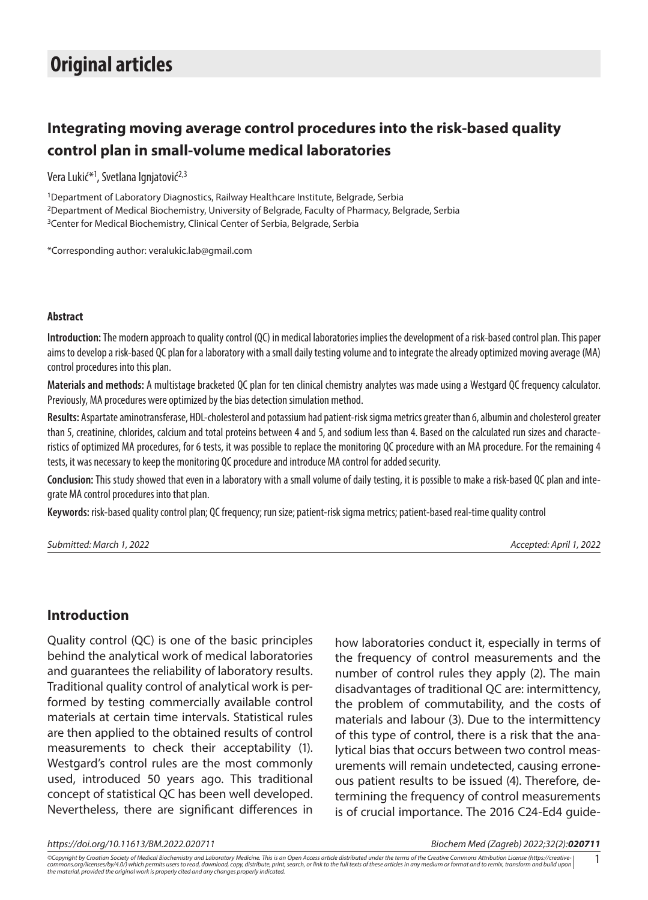# **Integrating moving average control procedures into the risk-based quality control plan in small-volume medical laboratories**

Vera Lukić\*<sup>1</sup>, Svetlana Ignjatović<sup>2,3</sup>

<sup>1</sup>Department of Laboratory Diagnostics, Railway Healthcare Institute, Belgrade, Serbia 2Department of Medical Biochemistry, University of Belgrade, Faculty of Pharmacy, Belgrade, Serbia <sup>3</sup> Center for Medical Biochemistry, Clinical Center of Serbia, Belgrade, Serbia

\*Corresponding author: [veralukic.lab@gmail.com](mailto:veralukic.lab@gmail.com)

#### **Abstract**

**Introduction:** The modern approach to quality control (QC) in medical laboratories implies the development of a risk-based control plan. This paper aims to develop a risk-based QC plan for a laboratory with a small daily testing volume and to integrate the already optimized moving average (MA) control procedures into this plan.

**Materials and methods:** A multistage bracketed QC plan for ten clinical chemistry analytes was made using a Westgard QC frequency calculator. Previously, MA procedures were optimized by the bias detection simulation method.

**Results:** Aspartate aminotransferase, HDL-cholesterol and potassium had patient-risk sigma metrics greater than 6, albumin and cholesterol greater than 5, creatinine, chlorides, calcium and total proteins between 4 and 5, and sodium less than 4. Based on the calculated run sizes and characteristics of optimized MA procedures, for 6 tests, it was possible to replace the monitoring QC procedure with an MA procedure. For the remaining 4 tests, it was necessary to keep the monitoring QC procedure and introduce MA control for added security.

**Conclusion:** This study showed that even in a laboratory with a small volume of daily testing, it is possible to make a risk-based QC plan and integrate MA control procedures into that plan.

**Keywords:** risk-based quality control plan; QC frequency; run size; patient-risk sigma metrics; patient-based real-time quality control

*Submitted: March 1, 2022 Accepted: April 1, 2022*

## **Introduction**

Quality control (QC) is one of the basic principles behind the analytical work of medical laboratories and guarantees the reliability of laboratory results. Traditional quality control of analytical work is performed by testing commercially available control materials at certain time intervals. Statistical rules are then applied to the obtained results of control measurements to check their acceptability (1). Westgard's control rules are the most commonly used, introduced 50 years ago. This traditional concept of statistical QC has been well developed. Nevertheless, there are significant differences in

how laboratories conduct it, especially in terms of the frequency of control measurements and the number of control rules they apply (2). The main disadvantages of traditional QC are: intermittency, the problem of commutability, and the costs of materials and labour (3). Due to the intermittency of this type of control, there is a risk that the analytical bias that occurs between two control measurements will remain undetected, causing erroneous patient results to be issued (4). Therefore, determining the frequency of control measurements is of crucial importance. The 2016 C24-Ed4 guide-

*https://doi.org/10.11613/BM.2022.020711 Biochem Med (Zagreb) 2022;32(2):020711*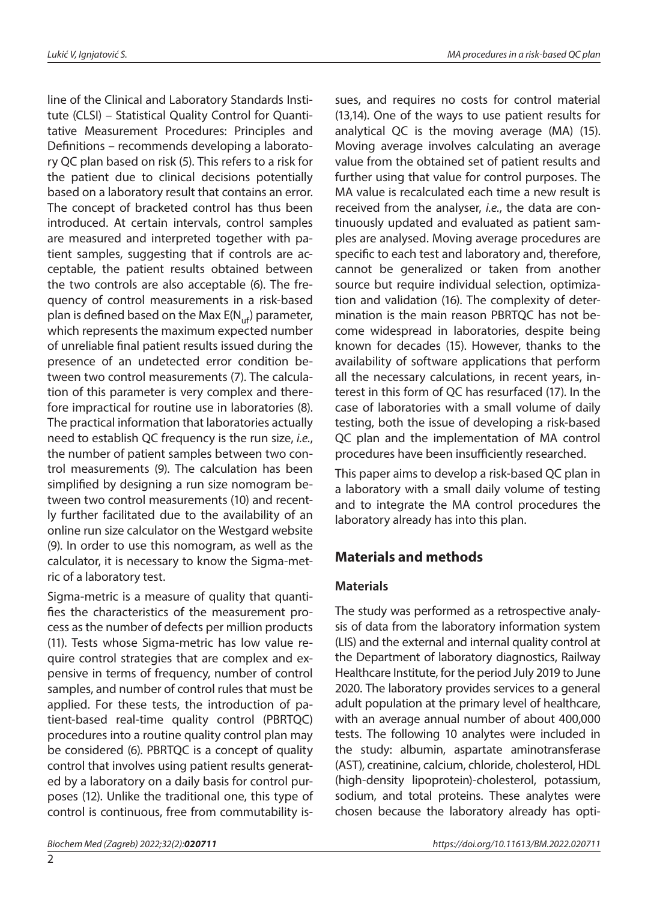line of the Clinical and Laboratory Standards Institute (CLSI) – Statistical Quality Control for Quantitative Measurement Procedures: Principles and Definitions – recommends developing a laboratory QC plan based on risk (5). This refers to a risk for the patient due to clinical decisions potentially based on a laboratory result that contains an error. The concept of bracketed control has thus been introduced. At certain intervals, control samples are measured and interpreted together with patient samples, suggesting that if controls are acceptable, the patient results obtained between the two controls are also acceptable (6). The frequency of control measurements in a risk-based plan is defined based on the Max  $E(N_{\text{ref}})$  parameter, which represents the maximum expected number of unreliable final patient results issued during the presence of an undetected error condition between two control measurements (7). The calculation of this parameter is very complex and therefore impractical for routine use in laboratories (8). The practical information that laboratories actually need to establish QC frequency is the run size, *i.e.*, the number of patient samples between two control measurements (9). The calculation has been simplified by designing a run size nomogram between two control measurements (10) and recently further facilitated due to the availability of an online run size calculator on the Westgard website (9). In order to use this nomogram, as well as the calculator, it is necessary to know the Sigma-metric of a laboratory test.

Sigma-metric is a measure of quality that quantifies the characteristics of the measurement process as the number of defects per million products (11). Tests whose Sigma-metric has low value require control strategies that are complex and expensive in terms of frequency, number of control samples, and number of control rules that must be applied. For these tests, the introduction of patient-based real-time quality control (PBRTQC) procedures into a routine quality control plan may be considered (6). PBRTQC is a concept of quality control that involves using patient results generated by a laboratory on a daily basis for control purposes (12). Unlike the traditional one, this type of control is continuous, free from commutability is-

sues, and requires no costs for control material (13,14). One of the ways to use patient results for analytical QC is the moving average (MA) (15). Moving average involves calculating an average value from the obtained set of patient results and further using that value for control purposes. The MA value is recalculated each time a new result is received from the analyser, *i.e.*, the data are continuously updated and evaluated as patient samples are analysed. Moving average procedures are specific to each test and laboratory and, therefore, cannot be generalized or taken from another source but require individual selection, optimization and validation (16). The complexity of determination is the main reason PBRTQC has not become widespread in laboratories, despite being known for decades (15). However, thanks to the availability of software applications that perform all the necessary calculations, in recent years, interest in this form of QC has resurfaced (17). In the case of laboratories with a small volume of daily testing, both the issue of developing a risk-based QC plan and the implementation of MA control procedures have been insufficiently researched.

This paper aims to develop a risk-based QC plan in a laboratory with a small daily volume of testing and to integrate the MA control procedures the laboratory already has into this plan.

# **Materials and methods**

## **Materials**

The study was performed as a retrospective analysis of data from the laboratory information system (LIS) and the external and internal quality control at the Department of laboratory diagnostics, Railway Healthcare Institute, for the period July 2019 to June 2020. The laboratory provides services to a general adult population at the primary level of healthcare, with an average annual number of about 400,000 tests. The following 10 analytes were included in the study: albumin, aspartate aminotransferase (AST), creatinine, calcium, chloride, cholesterol, HDL (high-density lipoprotein)-cholesterol, potassium, sodium, and total proteins. These analytes were chosen because the laboratory already has opti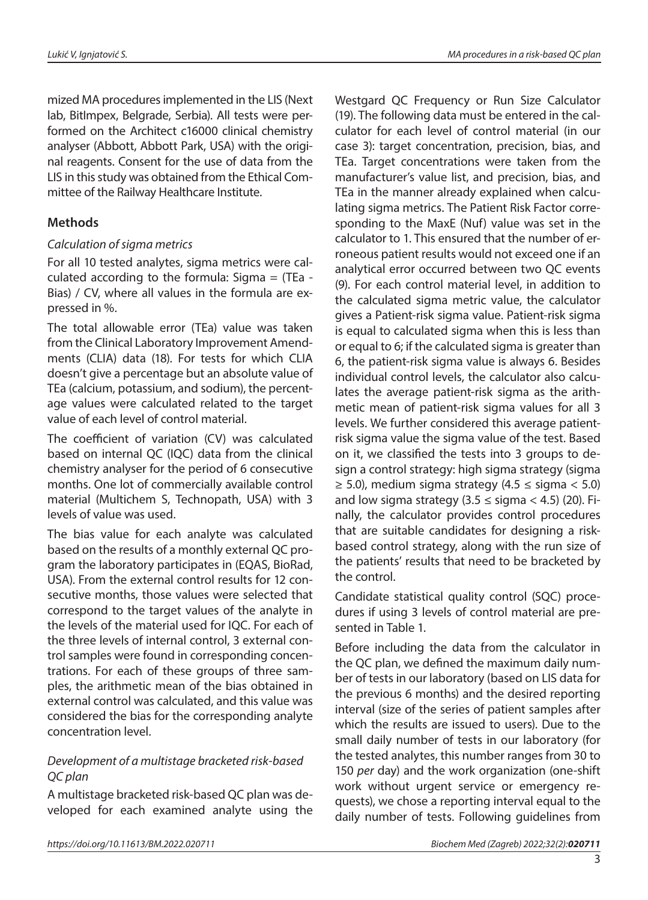mized MA procedures implemented in the LIS (Next lab, BitImpex, Belgrade, Serbia). All tests were performed on the Architect c16000 clinical chemistry analyser (Abbott, Abbott Park, USA) with the original reagents. Consent for the use of data from the LIS in this study was obtained from the Ethical Committee of the Railway Healthcare Institute.

# **Methods**

#### *Calculation of sigma metrics*

For all 10 tested analytes, sigma metrics were calculated according to the formula: Sigma  $=$  (TEa -Bias) / CV, where all values in the formula are expressed in %.

The total allowable error (TEa) value was taken from the Clinical Laboratory Improvement Amendments (CLIA) data (18). For tests for which CLIA doesn't give a percentage but an absolute value of TEa (calcium, potassium, and sodium), the percentage values were calculated related to the target value of each level of control material.

The coefficient of variation (CV) was calculated based on internal QC (IQC) data from the clinical chemistry analyser for the period of 6 consecutive months. One lot of commercially available control material (Multichem S, Technopath, USA) with 3 levels of value was used.

The bias value for each analyte was calculated based on the results of a monthly external QC program the laboratory participates in (EQAS, BioRad, USA). From the external control results for 12 consecutive months, those values were selected that correspond to the target values of the analyte in the levels of the material used for IQC. For each of the three levels of internal control, 3 external control samples were found in corresponding concentrations. For each of these groups of three samples, the arithmetic mean of the bias obtained in external control was calculated, and this value was considered the bias for the corresponding analyte concentration level.

#### *Development of a multistage bracketed risk-based QC plan*

A multistage bracketed risk-based QC plan was developed for each examined analyte using the Westgard QC Frequency or Run Size Calculator (19). The following data must be entered in the calculator for each level of control material (in our case 3): target concentration, precision, bias, and TEa. Target concentrations were taken from the manufacturer's value list, and precision, bias, and TEa in the manner already explained when calculating sigma metrics. The Patient Risk Factor corresponding to the MaxE (Nuf) value was set in the calculator to 1. This ensured that the number of erroneous patient results would not exceed one if an analytical error occurred between two QC events (9). For each control material level, in addition to the calculated sigma metric value, the calculator gives a Patient-risk sigma value. Patient-risk sigma is equal to calculated sigma when this is less than or equal to 6; if the calculated sigma is greater than 6, the patient-risk sigma value is always 6. Besides individual control levels, the calculator also calculates the average patient-risk sigma as the arithmetic mean of patient-risk sigma values for all 3 levels. We further considered this average patientrisk sigma value the sigma value of the test. Based on it, we classified the tests into 3 groups to design a control strategy: high sigma strategy (sigma  $\geq$  5.0), medium sigma strategy (4.5  $\leq$  sigma  $<$  5.0) and low sigma strategy  $(3.5 \leq$  sigma  $<$  4.5) (20). Finally, the calculator provides control procedures that are suitable candidates for designing a riskbased control strategy, along with the run size of the patients' results that need to be bracketed by the control.

Candidate statistical quality control (SQC) procedures if using 3 levels of control material are presented in Table 1.

Before including the data from the calculator in the QC plan, we defined the maximum daily number of tests in our laboratory (based on LIS data for the previous 6 months) and the desired reporting interval (size of the series of patient samples after which the results are issued to users). Due to the small daily number of tests in our laboratory (for the tested analytes, this number ranges from 30 to 150 *per* day) and the work organization (one-shift work without urgent service or emergency requests), we chose a reporting interval equal to the daily number of tests. Following guidelines from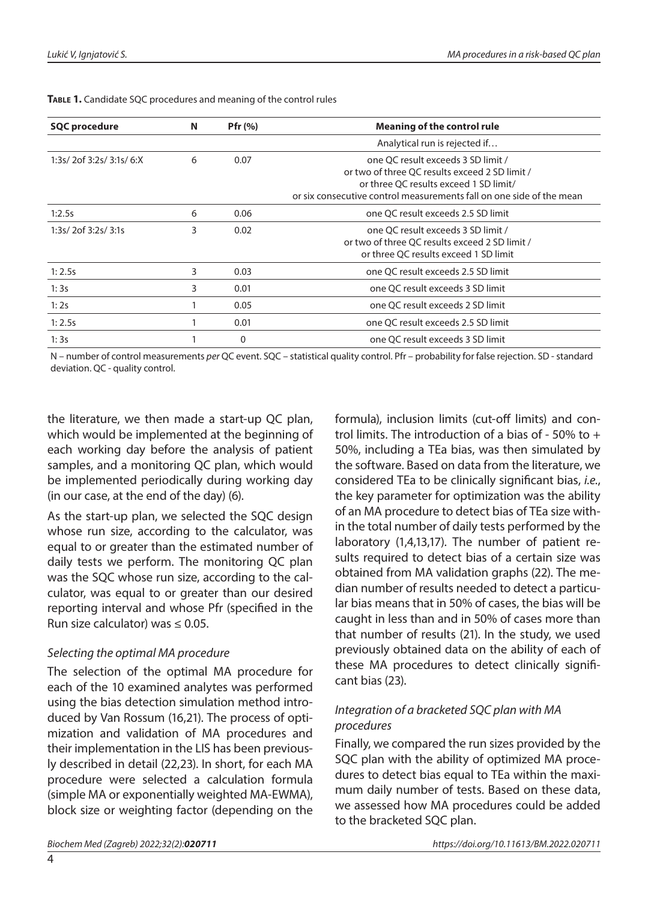| <b>SQC procedure</b>                | N | Pfr (%) | <b>Meaning of the control rule</b>                                                                                                                                                                     |  |  |  |  |  |
|-------------------------------------|---|---------|--------------------------------------------------------------------------------------------------------------------------------------------------------------------------------------------------------|--|--|--|--|--|
|                                     |   |         | Analytical run is rejected if                                                                                                                                                                          |  |  |  |  |  |
| 1:3s/2of 3:2s/3:1s/6:X<br>0.07<br>6 |   |         | one OC result exceeds 3 SD limit /<br>or two of three OC results exceed 2 SD limit /<br>or three QC results exceed 1 SD limit/<br>or six consecutive control measurements fall on one side of the mean |  |  |  |  |  |
| 1:2.5s                              | 6 | 0.06    | one OC result exceeds 2.5 SD limit                                                                                                                                                                     |  |  |  |  |  |
| 1:3s/2of 3:2s/3:1s                  | 3 | 0.02    | one OC result exceeds 3 SD limit /<br>or two of three OC results exceed 2 SD limit /<br>or three OC results exceed 1 SD limit                                                                          |  |  |  |  |  |
| 1:2.5s                              | 3 | 0.03    | one OC result exceeds 2.5 SD limit                                                                                                                                                                     |  |  |  |  |  |
| 1:3s                                | 3 | 0.01    | one QC result exceeds 3 SD limit                                                                                                                                                                       |  |  |  |  |  |
| 1:2s                                |   | 0.05    | one OC result exceeds 2 SD limit                                                                                                                                                                       |  |  |  |  |  |
| 1:2.5s                              |   | 0.01    | one OC result exceeds 2.5 SD limit                                                                                                                                                                     |  |  |  |  |  |
| 1:3s                                |   | 0       | one OC result exceeds 3 SD limit                                                                                                                                                                       |  |  |  |  |  |

**Table 1.** Candidate SQC procedures and meaning of the control rules

N – number of control measurements *per* QC event. SQC – statistical quality control. Pfr – probability for false rejection. SD - standard deviation. QC - quality control.

the literature, we then made a start-up QC plan, which would be implemented at the beginning of each working day before the analysis of patient samples, and a monitoring QC plan, which would be implemented periodically during working day (in our case, at the end of the day) (6).

As the start-up plan, we selected the SQC design whose run size, according to the calculator, was equal to or greater than the estimated number of daily tests we perform. The monitoring QC plan was the SQC whose run size, according to the calculator, was equal to or greater than our desired reporting interval and whose Pfr (specified in the Run size calculator) was  $\leq 0.05$ .

#### *Selecting the optimal MA procedure*

The selection of the optimal MA procedure for each of the 10 examined analytes was performed using the bias detection simulation method introduced by Van Rossum (16,21). The process of optimization and validation of MA procedures and their implementation in the LIS has been previously described in detail (22,23). In short, for each MA procedure were selected a calculation formula (simple MA or exponentially weighted MA-EWMA), block size or weighting factor (depending on the

formula), inclusion limits (cut-off limits) and control limits. The introduction of a bias of - 50% to + 50%, including a TEa bias, was then simulated by the software. Based on data from the literature, we considered TEa to be clinically significant bias, *i.e.*, the key parameter for optimization was the ability of an MA procedure to detect bias of TEa size within the total number of daily tests performed by the laboratory (1,4,13,17). The number of patient results required to detect bias of a certain size was obtained from MA validation graphs (22). The median number of results needed to detect a particular bias means that in 50% of cases, the bias will be caught in less than and in 50% of cases more than that number of results (21). In the study, we used previously obtained data on the ability of each of these MA procedures to detect clinically significant bias (23).

# *Integration of a bracketed SQC plan with MA procedures*

Finally, we compared the run sizes provided by the SQC plan with the ability of optimized MA procedures to detect bias equal to TEa within the maximum daily number of tests. Based on these data, we assessed how MA procedures could be added to the bracketed SQC plan.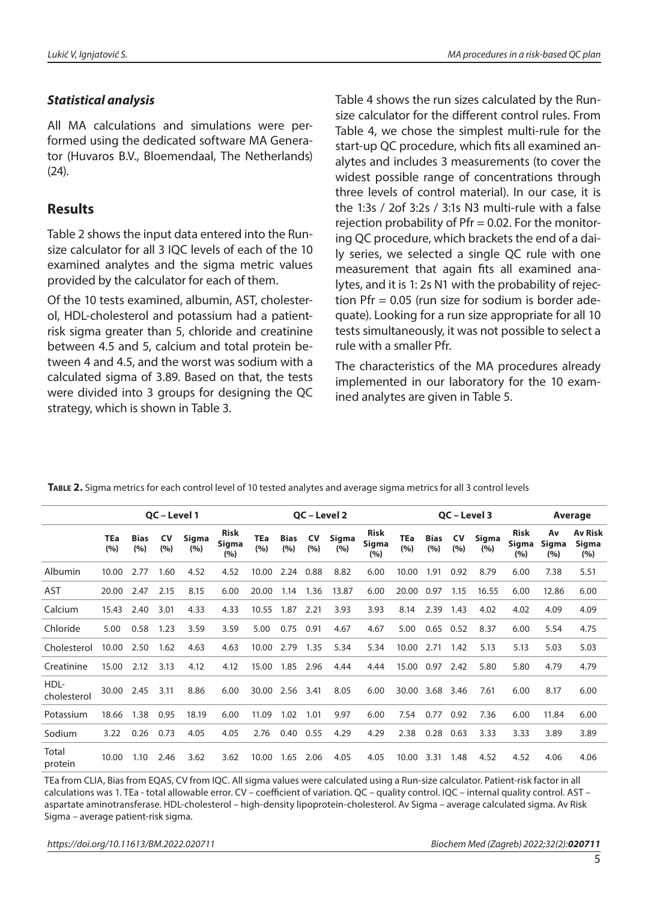#### *Statistical analysis*

All MA calculations and simulations were performed using the dedicated software MA Generator (Huvaros B.V., Bloemendaal, The Netherlands) (24).

# **Results**

Table 2 shows the input data entered into the Runsize calculator for all 3 IQC levels of each of the 10 examined analytes and the sigma metric values provided by the calculator for each of them.

Of the 10 tests examined, albumin, AST, cholesterol, HDL-cholesterol and potassium had a patientrisk sigma greater than 5, chloride and creatinine between 4.5 and 5, calcium and total protein between 4 and 4.5, and the worst was sodium with a calculated sigma of 3.89. Based on that, the tests were divided into 3 groups for designing the QC strategy, which is shown in Table 3.

Table 4 shows the run sizes calculated by the Runsize calculator for the different control rules. From Table 4, we chose the simplest multi-rule for the start-up QC procedure, which fits all examined analytes and includes 3 measurements (to cover the widest possible range of concentrations through three levels of control material). In our case, it is the 1:3s / 2of 3:2s / 3:1s N3 multi-rule with a false rejection probability of  $Pfr = 0.02$ . For the monitoring QC procedure, which brackets the end of a daily series, we selected a single QC rule with one measurement that again fits all examined analytes, and it is 1: 2s N1 with the probability of rejection Pfr = 0.05 (run size for sodium is border adequate). Looking for a run size appropriate for all 10 tests simultaneously, it was not possible to select a rule with a smaller Pfr.

The characteristics of the MA procedures already implemented in our laboratory for the 10 examined analytes are given in Table 5.

|                     | QC - Level 1      |                    |                  |              | QC - Level 2                |                   |                    |                  | QC - Level 3 |                             |                   | <b>Average</b>     |                  |              |                             |                    |                                |
|---------------------|-------------------|--------------------|------------------|--------------|-----------------------------|-------------------|--------------------|------------------|--------------|-----------------------------|-------------------|--------------------|------------------|--------------|-----------------------------|--------------------|--------------------------------|
|                     | <b>TEa</b><br>(%) | <b>Bias</b><br>(%) | <b>CV</b><br>(%) | Sigma<br>(%) | <b>Risk</b><br>Sigma<br>(%) | <b>TEa</b><br>(%) | <b>Bias</b><br>(%) | <b>CV</b><br>(%) | Sigma<br>(%) | <b>Risk</b><br>Sigma<br>(%) | <b>TEa</b><br>(%) | <b>Bias</b><br>(%) | <b>CV</b><br>(%) | Sigma<br>(%) | <b>Risk</b><br>Sigma<br>(%) | Av<br>Sigma<br>(%) | <b>Av Risk</b><br>Sigma<br>(%) |
| Albumin             | 10.00             | 2.77               | 1.60             | 4.52         | 4.52                        | 10.00             | 2.24               | 0.88             | 8.82         | 6.00                        | 10.00             | 1.91               | 0.92             | 8.79         | 6.00                        | 7.38               | 5.51                           |
| <b>AST</b>          | 20.00             | 2.47               | 2.15             | 8.15         | 6.00                        | 20.00             | 1.14               | 1.36             | 13.87        | 6.00                        | 20.00             | 0.97               | 1.15             | 16.55        | 6.00                        | 12.86              | 6.00                           |
| Calcium             | 15.43             | 2.40               | 3.01             | 4.33         | 4.33                        | 10.55             | 1.87               | 2.21             | 3.93         | 3.93                        | 8.14              | 2.39               | 1.43             | 4.02         | 4.02                        | 4.09               | 4.09                           |
| Chloride            | 5.00              | 0.58               | 1.23             | 3.59         | 3.59                        | 5.00              | 0.75               | 0.91             | 4.67         | 4.67                        | 5.00              | 0.65               | 0.52             | 8.37         | 6.00                        | 5.54               | 4.75                           |
| Cholesterol         | 10.00             | 2.50               | 1.62             | 4.63         | 4.63                        | 10.00             | 2.79               | 1.35             | 5.34         | 5.34                        | 10.00             | 2.71               | 1.42             | 5.13         | 5.13                        | 5.03               | 5.03                           |
| Creatinine          | 15.00             | 2.12               | 3.13             | 4.12         | 4.12                        | 15.00             | 1.85               | 2.96             | 4.44         | 4.44                        | 15.00             | 0.97               | 2.42             | 5.80         | 5.80                        | 4.79               | 4.79                           |
| HDL-<br>cholesterol | 30.00             | 2.45               | 3.11             | 8.86         | 6.00                        | 30.00             | 2.56               | 3.41             | 8.05         | 6.00                        | 30.00             | 3.68               | 3.46             | 7.61         | 6.00                        | 8.17               | 6.00                           |
| Potassium           | 18.66             | 1.38               | 0.95             | 18.19        | 6.00                        | 11.09             | 1.02               | 1.01             | 9.97         | 6.00                        | 7.54              | 0.77               | 0.92             | 7.36         | 6.00                        | 11.84              | 6.00                           |
| Sodium              | 3.22              | 0.26               | 0.73             | 4.05         | 4.05                        | 2.76              | 0.40               | 0.55             | 4.29         | 4.29                        | 2.38              | 0.28               | 0.63             | 3.33         | 3.33                        | 3.89               | 3.89                           |
| Total<br>protein    | 10.00             | 1.10               | 2.46             | 3.62         | 3.62                        | 10.00             | 1.65               | 2.06             | 4.05         | 4.05                        | 10.00             | 3.31               | 1.48             | 4.52         | 4.52                        | 4.06               | 4.06                           |

**Table 2.** Sigma metrics for each control level of 10 tested analytes and average sigma metrics for all 3 control levels

TEa from CLIA, Bias from EQAS, CV from IQC. All sigma values were calculated using a Run-size calculator. Patient-risk factor in all calculations was 1. TEa - total allowable error. CV – coefficient of variation. QC – quality control. IQC – internal quality control. AST – aspartate aminotransferase. HDL-cholesterol – high-density lipoprotein-cholesterol. Av Sigma – average calculated sigma. Av Risk Sigma – average patient-risk sigma.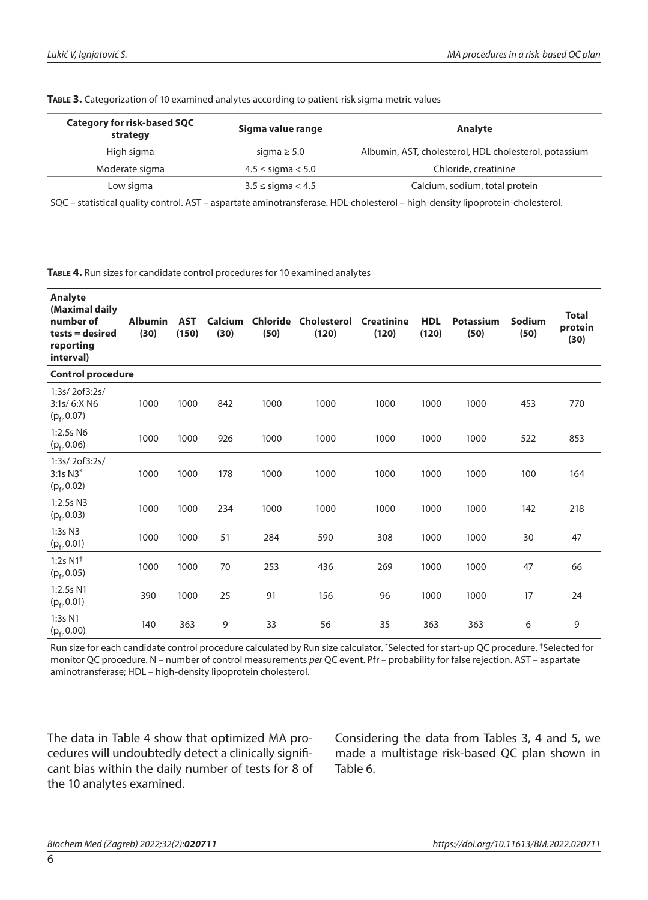**Table 3.** Categorization of 10 examined analytes according to patient-risk sigma metric values

| <b>Category for risk-based SQC</b><br>strategy | Sigma value range        | Analyte                                               |  |  |  |
|------------------------------------------------|--------------------------|-------------------------------------------------------|--|--|--|
| High sigma                                     | sigma $\geq 5.0$         | Albumin, AST, cholesterol, HDL-cholesterol, potassium |  |  |  |
| Moderate sigma                                 | $4.5 \leq$ sigma $< 5.0$ | Chloride, creatinine                                  |  |  |  |
| Low sigma                                      | $3.5 \leq$ sigma $< 4.5$ | Calcium, sodium, total protein                        |  |  |  |

SQC – statistical quality control. AST – aspartate aminotransferase. HDL-cholesterol – high-density lipoprotein-cholesterol.

**Table 4.** Run sizes for candidate control procedures for 10 examined analytes

| <b>Analyte</b><br>(Maximal daily<br>number of<br>tests = desired<br>reporting<br>interval) | <b>Albumin</b><br>(30) | <b>AST</b><br>(150) | <b>Calcium</b><br>(30) | Chloride<br>(50) | <b>Cholesterol</b><br>(120) | <b>Creatinine</b><br>(120) | <b>HDL</b><br>(120) | <b>Potassium</b><br>(50) | Sodium<br>(50) | <b>Total</b><br>protein<br>(30) |
|--------------------------------------------------------------------------------------------|------------------------|---------------------|------------------------|------------------|-----------------------------|----------------------------|---------------------|--------------------------|----------------|---------------------------------|
| <b>Control procedure</b>                                                                   |                        |                     |                        |                  |                             |                            |                     |                          |                |                                 |
| 1:3s/2of3:2s/<br>3:1s/ 6:X N6<br>$(p_{\rm fr} 0.07)$                                       | 1000                   | 1000                | 842                    | 1000             | 1000                        | 1000                       | 1000                | 1000                     | 453            | 770                             |
| 1:2.5s N6<br>$(p_{\rm fr} 0.06)$                                                           | 1000                   | 1000                | 926                    | 1000             | 1000                        | 1000                       | 1000                | 1000                     | 522            | 853                             |
| 1:3s/2of3:2s/<br>3:1s N3*<br>$(p_{\rm fr}\,0.02)$                                          | 1000                   | 1000                | 178                    | 1000             | 1000                        | 1000                       | 1000                | 1000                     | 100            | 164                             |
| 1:2.5s N3<br>$(p_{\rm fr} 0.03)$                                                           | 1000                   | 1000                | 234                    | 1000             | 1000                        | 1000                       | 1000                | 1000                     | 142            | 218                             |
| 1:3s N3<br>$(p_{\rm fr} 0.01)$                                                             | 1000                   | 1000                | 51                     | 284              | 590                         | 308                        | 1000                | 1000                     | 30             | 47                              |
| 1:2s $N1^+$<br>$(p_{\rm fr} 0.05)$                                                         | 1000                   | 1000                | 70                     | 253              | 436                         | 269                        | 1000                | 1000                     | 47             | 66                              |
| 1:2.5s N1<br>$(p_{\rm fr}\,0.01)$                                                          | 390                    | 1000                | 25                     | 91               | 156                         | 96                         | 1000                | 1000                     | 17             | 24                              |
| 1:3s N1<br>$(p_{\rm fr}\,0.00)$                                                            | 140                    | 363                 | 9                      | 33               | 56                          | 35                         | 363                 | 363                      | 6              | 9                               |

Run size for each candidate control procedure calculated by Run size calculator. \*Selected for start-up QC procedure. †Selected for monitor QC procedure. N – number of control measurements *per* QC event. Pfr – probability for false rejection. AST – aspartate aminotransferase; HDL – high-density lipoprotein cholesterol.

The data in Table 4 show that optimized MA procedures will undoubtedly detect a clinically significant bias within the daily number of tests for 8 of the 10 analytes examined.

Considering the data from Tables 3, 4 and 5, we made a multistage risk-based QC plan shown in Table 6.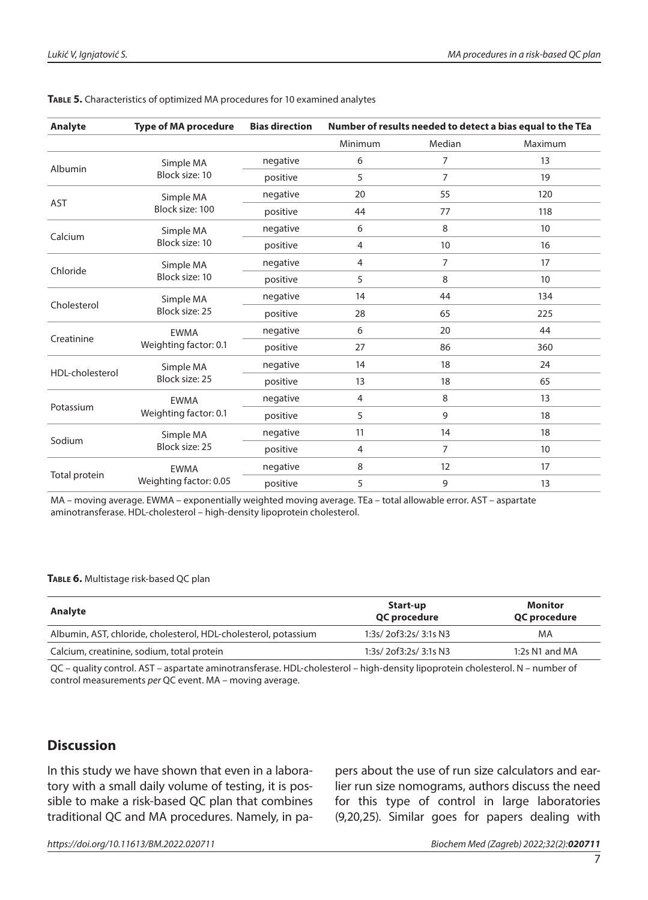| Analyte                                                                                                                              | <b>Type of MA procedure</b> | <b>Bias direction</b> | Number of results needed to detect a bias equal to the TEa |                |         |  |  |  |
|--------------------------------------------------------------------------------------------------------------------------------------|-----------------------------|-----------------------|------------------------------------------------------------|----------------|---------|--|--|--|
|                                                                                                                                      |                             |                       | Minimum                                                    | Median         | Maximum |  |  |  |
|                                                                                                                                      | Simple MA                   | negative              | 6                                                          | $\overline{7}$ | 13      |  |  |  |
|                                                                                                                                      | Block size: 10              | positive              | 5                                                          | $\overline{7}$ | 19      |  |  |  |
|                                                                                                                                      | Simple MA                   | negative              | 20                                                         | 55             | 120     |  |  |  |
|                                                                                                                                      | Block size: 100             | positive              | 44                                                         | 77             | 118     |  |  |  |
|                                                                                                                                      | Simple MA                   | negative              | 6                                                          | 8              | 10      |  |  |  |
| Albumin<br><b>AST</b><br>Calcium<br>Chloride<br>Cholesterol<br>Creatinine<br>HDL-cholesterol<br>Potassium<br>Sodium<br>Total protein | Block size: 10              | positive              | 4                                                          | 10             | 16      |  |  |  |
|                                                                                                                                      | Simple MA                   | negative              | 4                                                          | 7              | 17      |  |  |  |
|                                                                                                                                      | Block size: 10              | positive              | 5                                                          | 8              | 10      |  |  |  |
|                                                                                                                                      | Simple MA                   | negative              | 14                                                         | 44             | 134     |  |  |  |
|                                                                                                                                      | Block size: 25              | positive              | 28                                                         | 65             | 225     |  |  |  |
|                                                                                                                                      | <b>EWMA</b>                 | negative              | 6                                                          | 20             | 44      |  |  |  |
|                                                                                                                                      | Weighting factor: 0.1       | positive              | 27                                                         | 86             | 360     |  |  |  |
|                                                                                                                                      | Simple MA                   | negative              | 14                                                         | 18             | 24      |  |  |  |
|                                                                                                                                      | Block size: 25              | positive              | 13                                                         | 18             | 65      |  |  |  |
|                                                                                                                                      | <b>EWMA</b>                 | negative              | 4                                                          | 8              | 13      |  |  |  |
|                                                                                                                                      | Weighting factor: 0.1       | positive              | 5                                                          | 9              | 18      |  |  |  |
|                                                                                                                                      | Simple MA                   | negative              | 11                                                         | 14             | 18      |  |  |  |
|                                                                                                                                      | Block size: 25              | positive              | 4                                                          | $\overline{7}$ | 10      |  |  |  |
|                                                                                                                                      | <b>EWMA</b>                 | negative              | 8                                                          | 12             | 17      |  |  |  |
|                                                                                                                                      | Weighting factor: 0.05      | positive              | 5                                                          | 9              | 13      |  |  |  |
|                                                                                                                                      |                             |                       |                                                            |                |         |  |  |  |

#### **Table 5.** Characteristics of optimized MA procedures for 10 examined analytes

MA – moving average. EWMA – exponentially weighted moving average. TEa – total allowable error. AST – aspartate aminotransferase. HDL-cholesterol – high-density lipoprotein cholesterol.

#### **Table 6.** Multistage risk-based QC plan

| Start-up<br>QC procedure | Monitor<br>QC procedure |  |  |
|--------------------------|-------------------------|--|--|
| 1:3s/2of3:2s/3:1s N3     | MA                      |  |  |
| 1:3s/2of3:2s/3:1s N3     | 1:2s $N1$ and $MA$      |  |  |
|                          |                         |  |  |

QC – quality control. AST – aspartate aminotransferase. HDL-cholesterol – high-density lipoprotein cholesterol. N – number of control measurements *per* QC event. MA – moving average.

### **Discussion**

In this study we have shown that even in a laboratory with a small daily volume of testing, it is possible to make a risk-based QC plan that combines traditional QC and MA procedures. Namely, in papers about the use of run size calculators and earlier run size nomograms, authors discuss the need for this type of control in large laboratories (9,20,25). Similar goes for papers dealing with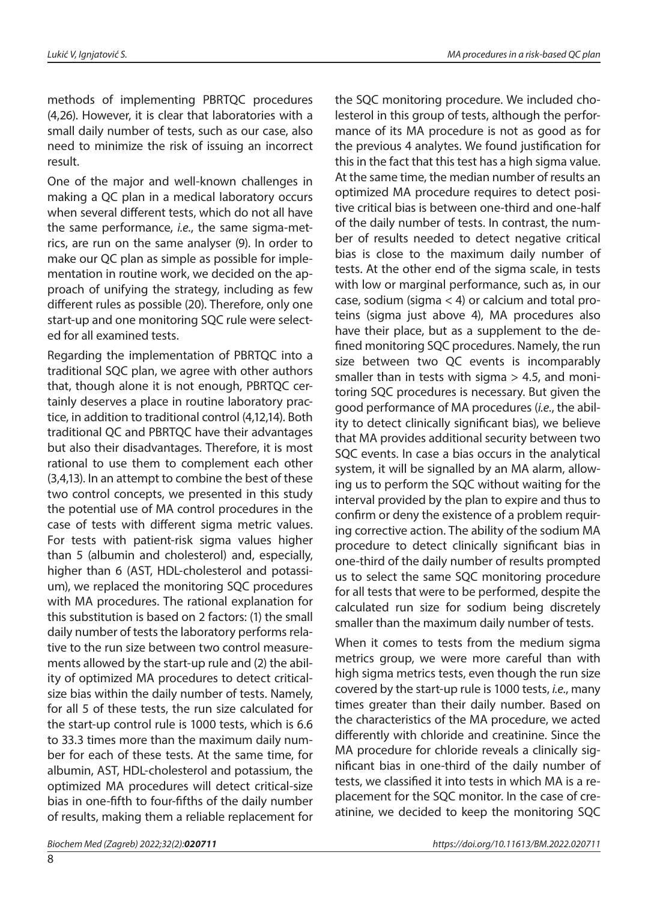methods of implementing PBRTQC procedures (4,26). However, it is clear that laboratories with a small daily number of tests, such as our case, also need to minimize the risk of issuing an incorrect result.

One of the major and well-known challenges in making a QC plan in a medical laboratory occurs when several different tests, which do not all have the same performance, *i.e.*, the same sigma-metrics, are run on the same analyser (9). In order to make our QC plan as simple as possible for implementation in routine work, we decided on the approach of unifying the strategy, including as few different rules as possible (20). Therefore, only one start-up and one monitoring SQC rule were selected for all examined tests.

Regarding the implementation of PBRTQC into a traditional SQC plan, we agree with other authors that, though alone it is not enough, PBRTQC certainly deserves a place in routine laboratory practice, in addition to traditional control (4,12,14). Both traditional QC and PBRTQC have their advantages but also their disadvantages. Therefore, it is most rational to use them to complement each other (3,4,13). In an attempt to combine the best of these two control concepts, we presented in this study the potential use of MA control procedures in the case of tests with different sigma metric values. For tests with patient-risk sigma values higher than 5 (albumin and cholesterol) and, especially, higher than 6 (AST, HDL-cholesterol and potassium), we replaced the monitoring SQC procedures with MA procedures. The rational explanation for this substitution is based on 2 factors: (1) the small daily number of tests the laboratory performs relative to the run size between two control measurements allowed by the start-up rule and (2) the ability of optimized MA procedures to detect criticalsize bias within the daily number of tests. Namely, for all 5 of these tests, the run size calculated for the start-up control rule is 1000 tests, which is 6.6 to 33.3 times more than the maximum daily number for each of these tests. At the same time, for albumin, AST, HDL-cholesterol and potassium, the optimized MA procedures will detect critical-size bias in one-fifth to four-fifths of the daily number of results, making them a reliable replacement for the SQC monitoring procedure. We included cholesterol in this group of tests, although the performance of its MA procedure is not as good as for the previous 4 analytes. We found justification for this in the fact that this test has a high sigma value. At the same time, the median number of results an optimized MA procedure requires to detect positive critical bias is between one-third and one-half of the daily number of tests. In contrast, the number of results needed to detect negative critical bias is close to the maximum daily number of tests. At the other end of the sigma scale, in tests with low or marginal performance, such as, in our case, sodium (sigma < 4) or calcium and total proteins (sigma just above 4), MA procedures also have their place, but as a supplement to the defined monitoring SQC procedures. Namely, the run size between two QC events is incomparably smaller than in tests with sigma  $>$  4.5, and monitoring SQC procedures is necessary. But given the good performance of MA procedures (*i.e.*, the ability to detect clinically significant bias), we believe that MA provides additional security between two SQC events. In case a bias occurs in the analytical system, it will be signalled by an MA alarm, allowing us to perform the SQC without waiting for the interval provided by the plan to expire and thus to confirm or deny the existence of a problem requiring corrective action. The ability of the sodium MA procedure to detect clinically significant bias in one-third of the daily number of results prompted us to select the same SQC monitoring procedure for all tests that were to be performed, despite the calculated run size for sodium being discretely smaller than the maximum daily number of tests.

When it comes to tests from the medium sigma metrics group, we were more careful than with high sigma metrics tests, even though the run size covered by the start-up rule is 1000 tests, *i.e.*, many times greater than their daily number. Based on the characteristics of the MA procedure, we acted differently with chloride and creatinine. Since the MA procedure for chloride reveals a clinically significant bias in one-third of the daily number of tests, we classified it into tests in which MA is a replacement for the SQC monitor. In the case of creatinine, we decided to keep the monitoring SQC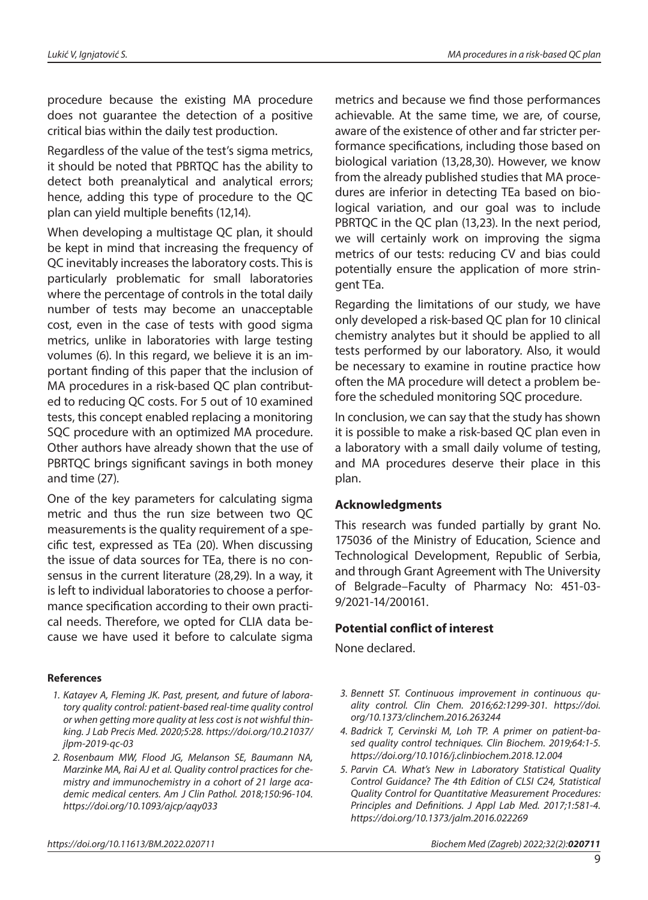procedure because the existing MA procedure does not guarantee the detection of a positive critical bias within the daily test production.

Regardless of the value of the test's sigma metrics, it should be noted that PBRTQC has the ability to detect both preanalytical and analytical errors; hence, adding this type of procedure to the QC plan can yield multiple benefits (12,14).

When developing a multistage QC plan, it should be kept in mind that increasing the frequency of QC inevitably increases the laboratory costs. This is particularly problematic for small laboratories where the percentage of controls in the total daily number of tests may become an unacceptable cost, even in the case of tests with good sigma metrics, unlike in laboratories with large testing volumes (6). In this regard, we believe it is an important finding of this paper that the inclusion of MA procedures in a risk-based QC plan contributed to reducing QC costs. For 5 out of 10 examined tests, this concept enabled replacing a monitoring SQC procedure with an optimized MA procedure. Other authors have already shown that the use of PBRTQC brings significant savings in both money and time (27).

One of the key parameters for calculating sigma metric and thus the run size between two QC measurements is the quality requirement of a specific test, expressed as TEa (20). When discussing the issue of data sources for TEa, there is no consensus in the current literature (28,29). In a way, it is left to individual laboratories to choose a performance specification according to their own practical needs. Therefore, we opted for CLIA data because we have used it before to calculate sigma

#### **References**

- *1. Katayev A, Fleming JK. Past, present, and future of laboratory quality control: patient-based real-time quality control or when getting more quality at less cost is not wishful thinking. J Lab Precis Med. 2020;5:28. [https://doi.org/10.21037/](https://doi.org/10.21037/jlpm-2019-qc-03) [jlpm-2019-qc-03](https://doi.org/10.21037/jlpm-2019-qc-03)*
- *2. Rosenbaum MW, Flood JG, Melanson SE, Baumann NA, Marzinke MA, Rai AJ et al. Quality control practices for chemistry and immunochemistry in a cohort of 21 large academic medical centers. Am J Clin Pathol. 2018;150:96-104. <https://doi.org/10.1093/ajcp/aqy033>*

metrics and because we find those performances achievable. At the same time, we are, of course, aware of the existence of other and far stricter performance specifications, including those based on biological variation (13,28,30). However, we know from the already published studies that MA procedures are inferior in detecting TEa based on biological variation, and our goal was to include PBRTQC in the QC plan (13,23). In the next period, we will certainly work on improving the sigma metrics of our tests: reducing CV and bias could potentially ensure the application of more stringent TEa.

Regarding the limitations of our study, we have only developed a risk-based QC plan for 10 clinical chemistry analytes but it should be applied to all tests performed by our laboratory. Also, it would be necessary to examine in routine practice how often the MA procedure will detect a problem before the scheduled monitoring SQC procedure.

In conclusion, we can say that the study has shown it is possible to make a risk-based QC plan even in a laboratory with a small daily volume of testing, and MA procedures deserve their place in this plan.

#### **Acknowledgments**

This research was funded partially by grant No. 175036 of the Ministry of Education, Science and Technological Development, Republic of Serbia, and through Grant Agreement with The University of Belgrade–Faculty of Pharmacy No: 451-03- 9/2021-14/200161.

#### **Potential conflict of interest**

None declared.

- *3. Bennett ST. Continuous improvement in continuous quality control. Clin Chem. 2016;62:1299-301. [https://doi.](https://doi.org/10.1373/clinchem.2016.263244) [org/10.1373/clinchem.2016.263244](https://doi.org/10.1373/clinchem.2016.263244)*
- *4. Badrick T, Cervinski M, Loh TP. A primer on patient-based quality control techniques. Clin Biochem. 2019;64:1-5. <https://doi.org/10.1016/j.clinbiochem.2018.12.004>*
- *5. Parvin CA. What's New in Laboratory Statistical Quality Control Guidance? The 4th Edition of CLSI C24, Statistical Quality Control for Quantitative Measurement Procedures: Principles and Definitions. J Appl Lab Med. 2017;1:581-4. <https://doi.org/10.1373/jalm.2016.022269>*